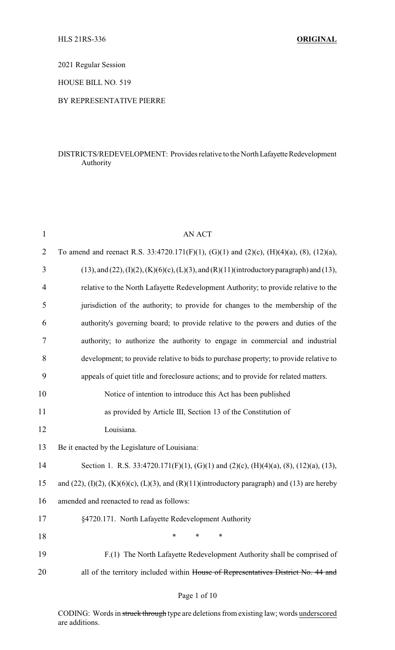2021 Regular Session

HOUSE BILL NO. 519

### BY REPRESENTATIVE PIERRE

### DISTRICTS/REDEVELOPMENT: Provides relative to the North Lafayette Redevelopment Authority

| $\mathbf{1}$   | <b>AN ACT</b>                                                                                                 |
|----------------|---------------------------------------------------------------------------------------------------------------|
| $\overline{2}$ | To amend and reenact R.S. 33:4720.171(F)(1), (G)(1) and (2)(c), (H)(4)(a), (8), (12)(a),                      |
| 3              | $(13)$ , and $(22)$ , $(I)(2)$ , $(K)(6)(c)$ , $(L)(3)$ , and $(R)(11)($ introductory paragraph) and $(13)$ , |
| 4              | relative to the North Lafayette Redevelopment Authority; to provide relative to the                           |
| 5              | jurisdiction of the authority; to provide for changes to the membership of the                                |
| 6              | authority's governing board; to provide relative to the powers and duties of the                              |
| 7              | authority; to authorize the authority to engage in commercial and industrial                                  |
| 8              | development; to provide relative to bids to purchase property; to provide relative to                         |
| 9              | appeals of quiet title and foreclosure actions; and to provide for related matters.                           |
| 10             | Notice of intention to introduce this Act has been published                                                  |
| 11             | as provided by Article III, Section 13 of the Constitution of                                                 |
| 12             | Louisiana.                                                                                                    |
| 13             | Be it enacted by the Legislature of Louisiana:                                                                |
| 14             | Section 1. R.S. 33:4720.171(F)(1), (G)(1) and (2)(c), (H)(4)(a), (8), (12)(a), (13),                          |
| 15             | and $(22)$ , $(I)(2)$ , $(K)(6)(c)$ , $(L)(3)$ , and $(R)(11)($ introductory paragraph) and $(13)$ are hereby |
| 16             | amended and reenacted to read as follows:                                                                     |
| 17             | §4720.171. North Lafayette Redevelopment Authority                                                            |
| 18             | ∗<br>*<br>∗                                                                                                   |
| 19             | F.(1) The North Lafayette Redevelopment Authority shall be comprised of                                       |
| 20             | all of the territory included within House of Representatives District No. 44 and                             |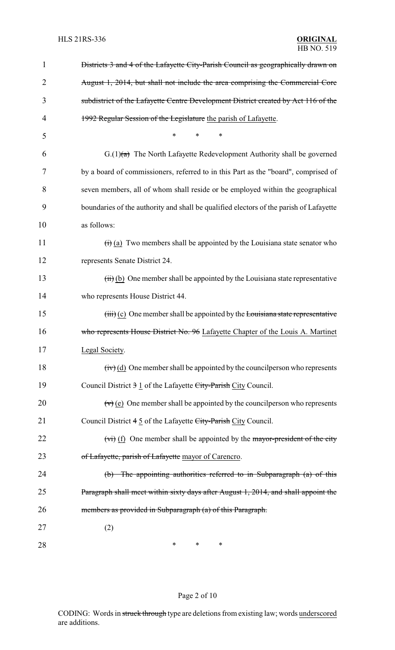| 1  | Districts 3 and 4 of the Lafayette City-Parish Council as geographically drawn on            |
|----|----------------------------------------------------------------------------------------------|
| 2  | August 1, 2014, but shall not include the area comprising the Commercial Core                |
| 3  | subdistrict of the Lafayette Centre Development District created by Act 116 of the           |
| 4  | 1992 Regular Session of the Legislature the parish of Lafayette.                             |
| 5  | $\ast$<br>*<br>*                                                                             |
| 6  | $G(1)(a)$ The North Lafayette Redevelopment Authority shall be governed                      |
| 7  | by a board of commissioners, referred to in this Part as the "board", comprised of           |
| 8  | seven members, all of whom shall reside or be employed within the geographical               |
| 9  | boundaries of the authority and shall be qualified electors of the parish of Lafayette       |
| 10 | as follows:                                                                                  |
| 11 | $\overrightarrow{(t)}$ (a) Two members shall be appointed by the Louisiana state senator who |
| 12 | represents Senate District 24.                                                               |
| 13 | $(ii)$ (b) One member shall be appointed by the Louisiana state representative               |
| 14 | who represents House District 44.                                                            |
| 15 | $(iii)$ (c) One member shall be appointed by the Louisiana state representative              |
| 16 | who represents House District No. 96 Lafayette Chapter of the Louis A. Martinet              |
| 17 | Legal Society.                                                                               |
| 18 | $f(v)(d)$ One member shall be appointed by the council person who represents                 |
| 19 | Council District 3 1 of the Lafayette City-Parish City Council.                              |
| 20 | $\overline{(v)}$ (e) One member shall be appointed by the council person who represents      |
| 21 | Council District 4 5 of the Lafayette City-Parish City Council.                              |
| 22 | $(vi)$ (f) One member shall be appointed by the mayor-president of the city                  |
| 23 | of Lafayette, parish of Lafayette mayor of Carencro.                                         |
| 24 | The appointing authorities referred to in Subparagraph (a) of this<br>$\theta$               |
| 25 | Paragraph shall meet within sixty days after August 1, 2014, and shall appoint the           |
| 26 | members as provided in Subparagraph (a) of this Paragraph.                                   |
| 27 | (2)                                                                                          |
| 28 | ∗<br>$\ast$<br>$\ast$                                                                        |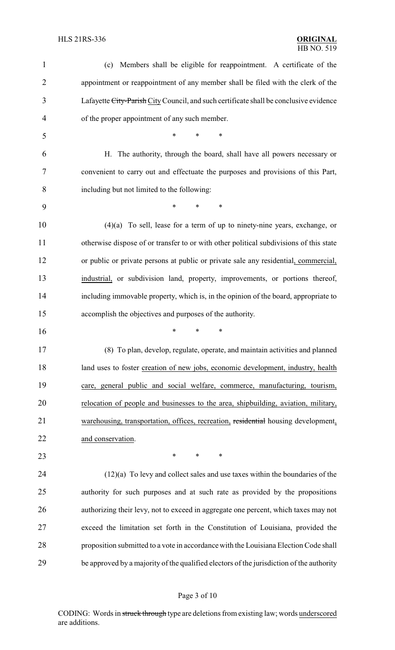| 1              | (c) Members shall be eligible for reappointment. A certificate of the                  |
|----------------|----------------------------------------------------------------------------------------|
| $\overline{2}$ | appointment or reappointment of any member shall be filed with the clerk of the        |
| 3              | Lafayette City-Parish City Council, and such certificate shall be conclusive evidence  |
| 4              | of the proper appointment of any such member.                                          |
| 5              | *<br>$\ast$<br>*                                                                       |
| 6              | H. The authority, through the board, shall have all powers necessary or                |
| 7              | convenient to carry out and effectuate the purposes and provisions of this Part,       |
| 8              | including but not limited to the following:                                            |
| 9              | *<br>*<br>$\ast$                                                                       |
| 10             | To sell, lease for a term of up to ninety-nine years, exchange, or<br>(4)(a)           |
| 11             | otherwise dispose of or transfer to or with other political subdivisions of this state |
| 12             | or public or private persons at public or private sale any residential, commercial,    |
| 13             | industrial, or subdivision land, property, improvements, or portions thereof,          |
| 14             | including immovable property, which is, in the opinion of the board, appropriate to    |
| 15             | accomplish the objectives and purposes of the authority.                               |
| 16             | *<br>∗<br>*                                                                            |
| 17             | (8) To plan, develop, regulate, operate, and maintain activities and planned           |
| 18             | land uses to foster creation of new jobs, economic development, industry, health       |
| 19             | care, general public and social welfare, commerce, manufacturing, tourism,             |
| 20             | relocation of people and businesses to the area, shipbuilding, aviation, military,     |
| 21             | warehousing, transportation, offices, recreation, residential housing development,     |
| 22             | and conservation.                                                                      |
| 23             | *<br>∗<br>∗                                                                            |
| 24             | $(12)(a)$ To levy and collect sales and use taxes within the boundaries of the         |
| 25             | authority for such purposes and at such rate as provided by the propositions           |
| 26             | authorizing their levy, not to exceed in aggregate one percent, which taxes may not    |
|                |                                                                                        |
| 27             | exceed the limitation set forth in the Constitution of Louisiana, provided the         |
| 28             | proposition submitted to a vote in accordance with the Louisiana Election Code shall   |

# Page 3 of 10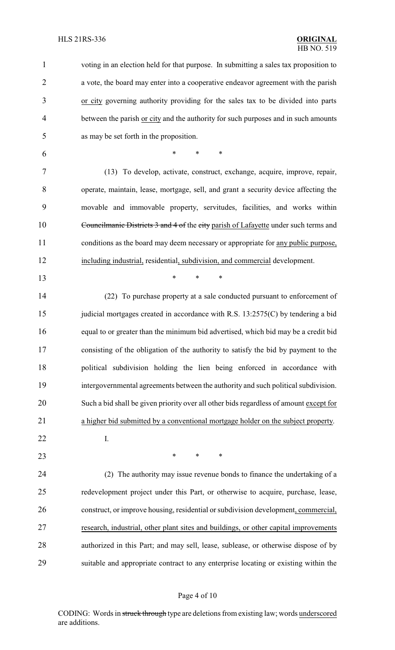voting in an election held for that purpose. In submitting a sales tax proposition to a vote, the board may enter into a cooperative endeavor agreement with the parish or city governing authority providing for the sales tax to be divided into parts 4 between the parish or city and the authority for such purposes and in such amounts as may be set forth in the proposition.

\* \* \*

 (13) To develop, activate, construct, exchange, acquire, improve, repair, operate, maintain, lease, mortgage, sell, and grant a security device affecting the movable and immovable property, servitudes, facilities, and works within 10 Councilmanic Districts 3 and 4 of the city parish of Lafayette under such terms and 11 conditions as the board may deem necessary or appropriate for any public purpose, including industrial, residential, subdivision, and commercial development.

\* \* \*

 (22) To purchase property at a sale conducted pursuant to enforcement of 15 judicial mortgages created in accordance with R.S. 13:2575(C) by tendering a bid equal to or greater than the minimum bid advertised, which bid may be a credit bid consisting of the obligation of the authority to satisfy the bid by payment to the political subdivision holding the lien being enforced in accordance with intergovernmental agreements between the authority and such political subdivision. Such a bid shall be given priority over all other bids regardless of amount except for a higher bid submitted by a conventional mortgage holder on the subject property.

I.

**\*** \* \* \*

 (2) The authority may issue revenue bonds to finance the undertaking of a redevelopment project under this Part, or otherwise to acquire, purchase, lease, construct, or improve housing, residential or subdivision development, commercial, research, industrial, other plant sites and buildings, or other capital improvements authorized in this Part; and may sell, lease, sublease, or otherwise dispose of by suitable and appropriate contract to any enterprise locating or existing within the

#### Page 4 of 10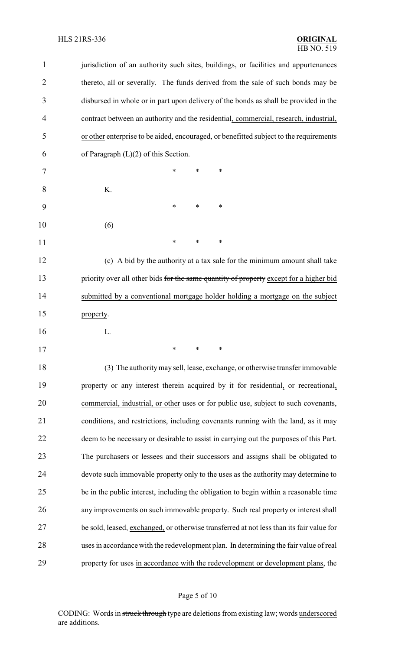## HLS 21RS-336 **ORIGINAL**

| $\mathbf{1}$   | jurisdiction of an authority such sites, buildings, or facilities and appurtenances      |
|----------------|------------------------------------------------------------------------------------------|
| $\overline{2}$ | thereto, all or severally. The funds derived from the sale of such bonds may be          |
| 3              | disbursed in whole or in part upon delivery of the bonds as shall be provided in the     |
| $\overline{4}$ | contract between an authority and the residential, commercial, research, industrial,     |
| 5              | or other enterprise to be aided, encouraged, or benefitted subject to the requirements   |
| 6              | of Paragraph $(L)(2)$ of this Section.                                                   |
| 7              | $\ast$<br>∗<br>*                                                                         |
| 8              | K.                                                                                       |
| 9              | $\ast$<br>∗<br>∗                                                                         |
| 10             | (6)                                                                                      |
| 11             | $\ast$<br>∗<br>*                                                                         |
| 12             | (c) A bid by the authority at a tax sale for the minimum amount shall take               |
| 13             | priority over all other bids for the same quantity of property except for a higher bid   |
| 14             | submitted by a conventional mortgage holder holding a mortgage on the subject            |
| 15             | property.                                                                                |
| 16             | L.                                                                                       |
| 17             | $\frac{1}{2}$ $\frac{1}{2}$ $\frac{1}{2}$                                                |
| 18             | (3) The authority may sell, lease, exchange, or otherwise transfer immovable             |
| 19             | property or any interest therein acquired by it for residential, or recreational,        |
| 20             | commercial, industrial, or other uses or for public use, subject to such covenants,      |
| 21             | conditions, and restrictions, including covenants running with the land, as it may       |
| 22             | deem to be necessary or desirable to assist in carrying out the purposes of this Part.   |
| 23             | The purchasers or lessees and their successors and assigns shall be obligated to         |
| 24             | devote such immovable property only to the uses as the authority may determine to        |
| 25             | be in the public interest, including the obligation to begin within a reasonable time    |
| 26             | any improvements on such immovable property. Such real property or interest shall        |
| 27             | be sold, leased, exchanged, or otherwise transferred at not less than its fair value for |
| 28             | uses in accordance with the redevelopment plan. In determining the fair value of real    |
| 29             | property for uses in accordance with the redevelopment or development plans, the         |

# Page 5 of 10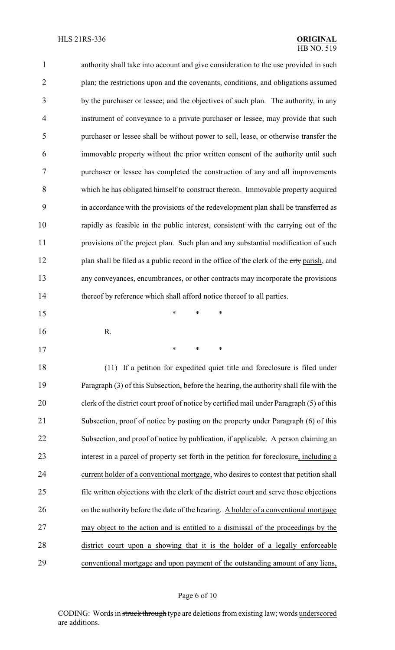| $\mathbf{1}$   | authority shall take into account and give consideration to the use provided in such      |
|----------------|-------------------------------------------------------------------------------------------|
| $\overline{2}$ | plan; the restrictions upon and the covenants, conditions, and obligations assumed        |
| 3              | by the purchaser or lessee; and the objectives of such plan. The authority, in any        |
| $\overline{4}$ | instrument of conveyance to a private purchaser or lessee, may provide that such          |
| 5              | purchaser or lessee shall be without power to sell, lease, or otherwise transfer the      |
| 6              | immovable property without the prior written consent of the authority until such          |
| $\tau$         | purchaser or lessee has completed the construction of any and all improvements            |
| 8              | which he has obligated himself to construct thereon. Immovable property acquired          |
| 9              | in accordance with the provisions of the redevelopment plan shall be transferred as       |
| 10             | rapidly as feasible in the public interest, consistent with the carrying out of the       |
| 11             | provisions of the project plan. Such plan and any substantial modification of such        |
| 12             | plan shall be filed as a public record in the office of the clerk of the city parish, and |
| 13             | any conveyances, encumbrances, or other contracts may incorporate the provisions          |
| 14             | thereof by reference which shall afford notice thereof to all parties.                    |
| 15             | *<br>*<br>∗                                                                               |
| 16             | R.                                                                                        |
| 17             | $\ast$<br>∗                                                                               |
| 18             | (11) If a petition for expedited quiet title and foreclosure is filed under               |
| 19             | Paragraph (3) of this Subsection, before the hearing, the authority shall file with the   |
| 20             | clerk of the district court proof of notice by certified mail under Paragraph (5) of this |
| 21             | Subsection, proof of notice by posting on the property under Paragraph (6) of this        |
| 22             | Subsection, and proof of notice by publication, if applicable. A person claiming an       |
| 23             | interest in a parcel of property set forth in the petition for foreclosure, including a   |
| 24             | current holder of a conventional mortgage, who desires to contest that petition shall     |
| 25             | file written objections with the clerk of the district court and serve those objections   |
| 26             | on the authority before the date of the hearing. A holder of a conventional mortgage      |
| 27             | may object to the action and is entitled to a dismissal of the proceedings by the         |
| 28             | district court upon a showing that it is the holder of a legally enforceable              |
| 29             | conventional mortgage and upon payment of the outstanding amount of any liens,            |

# Page 6 of 10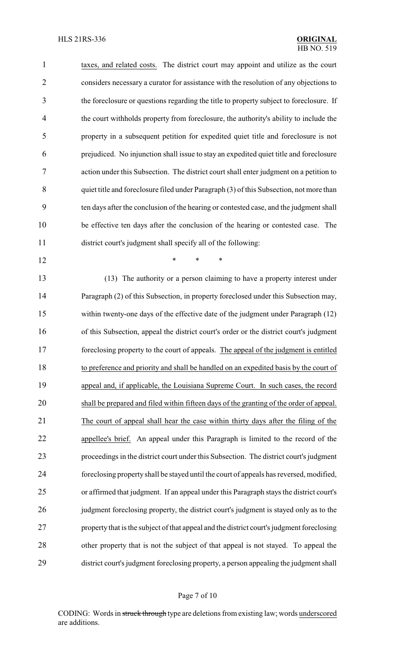taxes, and related costs. The district court may appoint and utilize as the court considers necessary a curator for assistance with the resolution of any objections to the foreclosure or questions regarding the title to property subject to foreclosure. If the court withholds property from foreclosure, the authority's ability to include the property in a subsequent petition for expedited quiet title and foreclosure is not prejudiced. No injunction shall issue to stay an expedited quiet title and foreclosure action under this Subsection. The district court shall enter judgment on a petition to quiet title and foreclosure filed under Paragraph (3) of this Subsection, not more than ten days after the conclusion of the hearing or contested case, and the judgment shall be effective ten days after the conclusion of the hearing or contested case. The district court's judgment shall specify all of the following:

**\*** \* \* \*

 (13) The authority or a person claiming to have a property interest under Paragraph (2) of this Subsection, in property foreclosed under this Subsection may, within twenty-one days of the effective date of the judgment under Paragraph (12) of this Subsection, appeal the district court's order or the district court's judgment foreclosing property to the court of appeals. The appeal of the judgment is entitled to preference and priority and shall be handled on an expedited basis by the court of appeal and, if applicable, the Louisiana Supreme Court. In such cases, the record shall be prepared and filed within fifteen days of the granting of the order of appeal. The court of appeal shall hear the case within thirty days after the filing of the appellee's brief. An appeal under this Paragraph is limited to the record of the proceedings in the district court under this Subsection. The district court's judgment foreclosing property shall be stayed until the court of appeals has reversed, modified, or affirmed that judgment. If an appeal under this Paragraph stays the district court's judgment foreclosing property, the district court's judgment is stayed only as to the property that is the subject of that appeal and the district court's judgment foreclosing other property that is not the subject of that appeal is not stayed. To appeal the district court's judgment foreclosing property, a person appealing the judgment shall

#### Page 7 of 10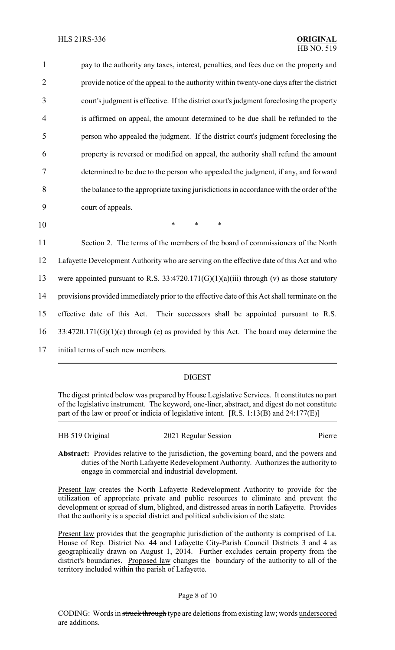1 pay to the authority any taxes, interest, penalties, and fees due on the property and provide notice of the appeal to the authority within twenty-one days after the district court's judgment is effective. If the district court's judgment foreclosing the property is affirmed on appeal, the amount determined to be due shall be refunded to the person who appealed the judgment. If the district court's judgment foreclosing the property is reversed or modified on appeal, the authority shall refund the amount determined to be due to the person who appealed the judgment, if any, and forward the balance to the appropriate taxing jurisdictions in accordance with the order of the court of appeals. 10 \* \* \*

 Section 2. The terms of the members of the board of commissioners of the North Lafayette Development Authority who are serving on the effective date of this Act and who were appointed pursuant to R.S. 33:4720.171(G)(1)(a)(iii) through (v) as those statutory provisions provided immediately prior to the effective date of this Act shall terminate on the effective date of this Act. Their successors shall be appointed pursuant to R.S. 33:4720.171(G)(1)(c) through (e) as provided by this Act. The board may determine the initial terms of such new members.

### DIGEST

The digest printed below was prepared by House Legislative Services. It constitutes no part of the legislative instrument. The keyword, one-liner, abstract, and digest do not constitute part of the law or proof or indicia of legislative intent. [R.S. 1:13(B) and 24:177(E)]

HB 519 Original 2021 Regular Session Pierre

**Abstract:** Provides relative to the jurisdiction, the governing board, and the powers and duties of the North Lafayette Redevelopment Authority. Authorizes the authority to engage in commercial and industrial development.

Present law creates the North Lafayette Redevelopment Authority to provide for the utilization of appropriate private and public resources to eliminate and prevent the development or spread of slum, blighted, and distressed areas in north Lafayette. Provides that the authority is a special district and political subdivision of the state.

Present law provides that the geographic jurisdiction of the authority is comprised of La. House of Rep. District No. 44 and Lafayette City-Parish Council Districts 3 and 4 as geographically drawn on August 1, 2014. Further excludes certain property from the district's boundaries. Proposed law changes the boundary of the authority to all of the territory included within the parish of Lafayette.

### Page 8 of 10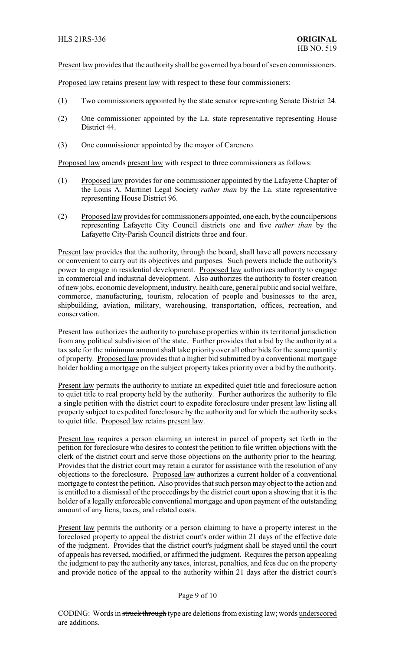Present law provides that the authority shall be governed by a board of seven commissioners.

Proposed law retains present law with respect to these four commissioners:

- (1) Two commissioners appointed by the state senator representing Senate District 24.
- (2) One commissioner appointed by the La. state representative representing House District 44.
- (3) One commissioner appointed by the mayor of Carencro.

Proposed law amends present law with respect to three commissioners as follows:

- (1) Proposed law provides for one commissioner appointed by the Lafayette Chapter of the Louis A. Martinet Legal Society *rather than* by the La. state representative representing House District 96.
- (2) Proposed law provides for commissioners appointed, one each, bythe councilpersons representing Lafayette City Council districts one and five *rather than* by the Lafayette City-Parish Council districts three and four.

Present law provides that the authority, through the board, shall have all powers necessary or convenient to carry out its objectives and purposes. Such powers include the authority's power to engage in residential development. Proposed law authorizes authority to engage in commercial and industrial development. Also authorizes the authority to foster creation of new jobs, economic development, industry, health care, general public and social welfare, commerce, manufacturing, tourism, relocation of people and businesses to the area, shipbuilding, aviation, military, warehousing, transportation, offices, recreation, and conservation.

Present law authorizes the authority to purchase properties within its territorial jurisdiction from any political subdivision of the state. Further provides that a bid by the authority at a tax sale for the minimum amount shall take priority over all other bids for the same quantity of property. Proposed law provides that a higher bid submitted by a conventional mortgage holder holding a mortgage on the subject property takes priority over a bid by the authority.

Present law permits the authority to initiate an expedited quiet title and foreclosure action to quiet title to real property held by the authority. Further authorizes the authority to file a single petition with the district court to expedite foreclosure under present law listing all property subject to expedited foreclosure by the authority and for which the authority seeks to quiet title. Proposed law retains present law.

Present law requires a person claiming an interest in parcel of property set forth in the petition for foreclosure who desires to contest the petition to file written objections with the clerk of the district court and serve those objections on the authority prior to the hearing. Provides that the district court may retain a curator for assistance with the resolution of any objections to the foreclosure. Proposed law authorizes a current holder of a conventional mortgage to contest the petition. Also provides that such person may object to the action and is entitled to a dismissal of the proceedings by the district court upon a showing that it is the holder of a legally enforceable conventional mortgage and upon payment of the outstanding amount of any liens, taxes, and related costs.

Present law permits the authority or a person claiming to have a property interest in the foreclosed property to appeal the district court's order within 21 days of the effective date of the judgment. Provides that the district court's judgment shall be stayed until the court of appeals has reversed, modified, or affirmed the judgment. Requires the person appealing the judgment to pay the authority any taxes, interest, penalties, and fees due on the property and provide notice of the appeal to the authority within 21 days after the district court's

#### Page 9 of 10